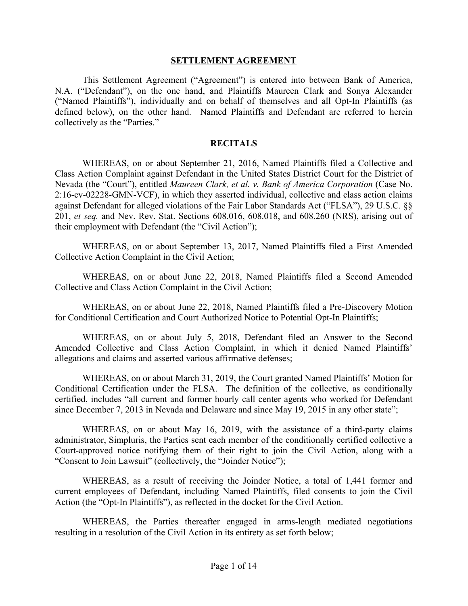#### **SETTLEMENT AGREEMENT**

This Settlement Agreement ("Agreement") is entered into between Bank of America, N.A. ("Defendant"), on the one hand, and Plaintiffs Maureen Clark and Sonya Alexander ("Named Plaintiffs"), individually and on behalf of themselves and all Opt-In Plaintiffs (as defined below), on the other hand. Named Plaintiffs and Defendant are referred to herein collectively as the "Parties."

#### **RECITALS**

WHEREAS, on or about September 21, 2016, Named Plaintiffs filed a Collective and Class Action Complaint against Defendant in the United States District Court for the District of Nevada (the "Court"), entitled *Maureen Clark, et al. v. Bank of America Corporation* (Case No. 2:16-cv-02228-GMN-VCF), in which they asserted individual, collective and class action claims against Defendant for alleged violations of the Fair Labor Standards Act ("FLSA"), 29 U.S.C. §§ 201, *et seq.* and Nev. Rev. Stat. Sections 608.016, 608.018, and 608.260 (NRS), arising out of their employment with Defendant (the "Civil Action");

WHEREAS, on or about September 13, 2017, Named Plaintiffs filed a First Amended Collective Action Complaint in the Civil Action;

WHEREAS, on or about June 22, 2018, Named Plaintiffs filed a Second Amended Collective and Class Action Complaint in the Civil Action;

WHEREAS, on or about June 22, 2018, Named Plaintiffs filed a Pre-Discovery Motion for Conditional Certification and Court Authorized Notice to Potential Opt-In Plaintiffs;

WHEREAS, on or about July 5, 2018, Defendant filed an Answer to the Second Amended Collective and Class Action Complaint, in which it denied Named Plaintiffs' allegations and claims and asserted various affirmative defenses;

WHEREAS, on or about March 31, 2019, the Court granted Named Plaintiffs' Motion for Conditional Certification under the FLSA. The definition of the collective, as conditionally certified, includes "all current and former hourly call center agents who worked for Defendant since December 7, 2013 in Nevada and Delaware and since May 19, 2015 in any other state";

WHEREAS, on or about May 16, 2019, with the assistance of a third-party claims administrator, Simpluris, the Parties sent each member of the conditionally certified collective a Court-approved notice notifying them of their right to join the Civil Action, along with a "Consent to Join Lawsuit" (collectively, the "Joinder Notice");

WHEREAS, as a result of receiving the Joinder Notice, a total of 1,441 former and current employees of Defendant, including Named Plaintiffs, filed consents to join the Civil Action (the "Opt-In Plaintiffs"), as reflected in the docket for the Civil Action.

WHEREAS, the Parties thereafter engaged in arms-length mediated negotiations resulting in a resolution of the Civil Action in its entirety as set forth below;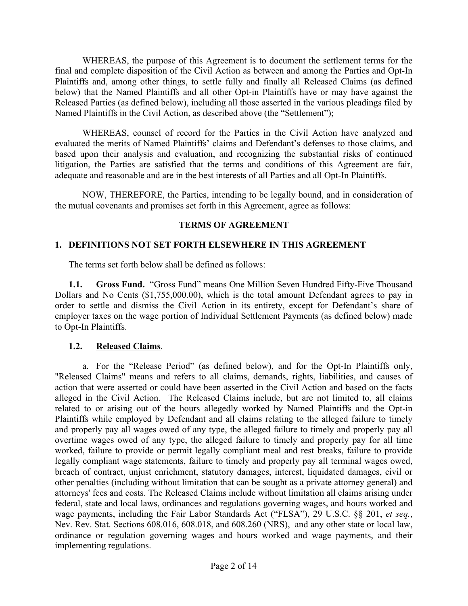WHEREAS, the purpose of this Agreement is to document the settlement terms for the final and complete disposition of the Civil Action as between and among the Parties and Opt-In Plaintiffs and, among other things, to settle fully and finally all Released Claims (as defined below) that the Named Plaintiffs and all other Opt-in Plaintiffs have or may have against the Released Parties (as defined below), including all those asserted in the various pleadings filed by Named Plaintiffs in the Civil Action, as described above (the "Settlement");

WHEREAS, counsel of record for the Parties in the Civil Action have analyzed and evaluated the merits of Named Plaintiffs' claims and Defendant's defenses to those claims, and based upon their analysis and evaluation, and recognizing the substantial risks of continued litigation, the Parties are satisfied that the terms and conditions of this Agreement are fair, adequate and reasonable and are in the best interests of all Parties and all Opt-In Plaintiffs.

NOW, THEREFORE, the Parties, intending to be legally bound, and in consideration of the mutual covenants and promises set forth in this Agreement, agree as follows:

#### **TERMS OF AGREEMENT**

#### **1. DEFINITIONS NOT SET FORTH ELSEWHERE IN THIS AGREEMENT**

The terms set forth below shall be defined as follows:

**1.1. Gross Fund.** "Gross Fund" means One Million Seven Hundred Fifty-Five Thousand Dollars and No Cents (\$1,755,000.00), which is the total amount Defendant agrees to pay in order to settle and dismiss the Civil Action in its entirety, except for Defendant's share of employer taxes on the wage portion of Individual Settlement Payments (as defined below) made to Opt-In Plaintiffs.

#### **1.2. Released Claims**.

a. For the "Release Period" (as defined below), and for the Opt-In Plaintiffs only, "Released Claims" means and refers to all claims, demands, rights, liabilities, and causes of action that were asserted or could have been asserted in the Civil Action and based on the facts alleged in the Civil Action. The Released Claims include, but are not limited to, all claims related to or arising out of the hours allegedly worked by Named Plaintiffs and the Opt-in Plaintiffs while employed by Defendant and all claims relating to the alleged failure to timely and properly pay all wages owed of any type, the alleged failure to timely and properly pay all overtime wages owed of any type, the alleged failure to timely and properly pay for all time worked, failure to provide or permit legally compliant meal and rest breaks, failure to provide legally compliant wage statements, failure to timely and properly pay all terminal wages owed, breach of contract, unjust enrichment, statutory damages, interest, liquidated damages, civil or other penalties (including without limitation that can be sought as a private attorney general) and attorneys' fees and costs. The Released Claims include without limitation all claims arising under federal, state and local laws, ordinances and regulations governing wages, and hours worked and wage payments, including the Fair Labor Standards Act ("FLSA"), 29 U.S.C. §§ 201, *et seq.*, Nev. Rev. Stat. Sections 608.016, 608.018, and 608.260 (NRS), and any other state or local law, ordinance or regulation governing wages and hours worked and wage payments, and their implementing regulations.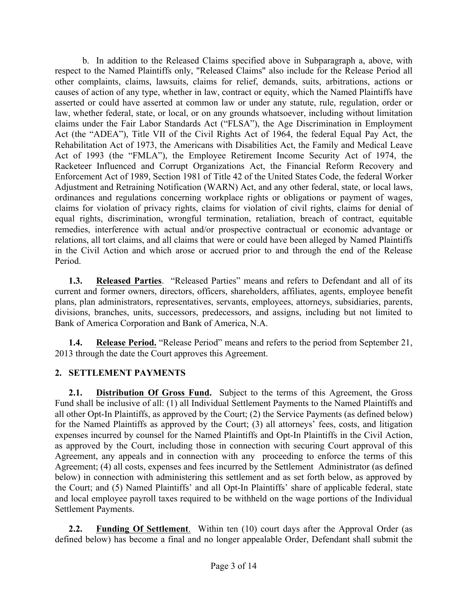b. In addition to the Released Claims specified above in Subparagraph a, above, with respect to the Named Plaintiffs only, "Released Claims" also include for the Release Period all other complaints, claims, lawsuits, claims for relief, demands, suits, arbitrations, actions or causes of action of any type, whether in law, contract or equity, which the Named Plaintiffs have asserted or could have asserted at common law or under any statute, rule, regulation, order or law, whether federal, state, or local, or on any grounds whatsoever, including without limitation claims under the Fair Labor Standards Act ("FLSA"), the Age Discrimination in Employment Act (the "ADEA"), Title VII of the Civil Rights Act of 1964, the federal Equal Pay Act, the Rehabilitation Act of 1973, the Americans with Disabilities Act, the Family and Medical Leave Act of 1993 (the "FMLA"), the Employee Retirement Income Security Act of 1974, the Racketeer Influenced and Corrupt Organizations Act, the Financial Reform Recovery and Enforcement Act of 1989, Section 1981 of Title 42 of the United States Code, the federal Worker Adjustment and Retraining Notification (WARN) Act, and any other federal, state, or local laws, ordinances and regulations concerning workplace rights or obligations or payment of wages, claims for violation of privacy rights, claims for violation of civil rights, claims for denial of equal rights, discrimination, wrongful termination, retaliation, breach of contract, equitable remedies, interference with actual and/or prospective contractual or economic advantage or relations, all tort claims, and all claims that were or could have been alleged by Named Plaintiffs in the Civil Action and which arose or accrued prior to and through the end of the Release Period.

**1.3. Released Parties**. "Released Parties" means and refers to Defendant and all of its current and former owners, directors, officers, shareholders, affiliates, agents, employee benefit plans, plan administrators, representatives, servants, employees, attorneys, subsidiaries, parents, divisions, branches, units, successors, predecessors, and assigns, including but not limited to Bank of America Corporation and Bank of America, N.A.

**1.4. Release Period.** "Release Period" means and refers to the period from September 21, 2013 through the date the Court approves this Agreement.

# **2. SETTLEMENT PAYMENTS**

**2.1. Distribution Of Gross Fund.** Subject to the terms of this Agreement, the Gross Fund shall be inclusive of all: (1) all Individual Settlement Payments to the Named Plaintiffs and all other Opt-In Plaintiffs, as approved by the Court; (2) the Service Payments (as defined below) for the Named Plaintiffs as approved by the Court; (3) all attorneys' fees, costs, and litigation expenses incurred by counsel for the Named Plaintiffs and Opt-In Plaintiffs in the Civil Action, as approved by the Court, including those in connection with securing Court approval of this Agreement, any appeals and in connection with any proceeding to enforce the terms of this Agreement; (4) all costs, expenses and fees incurred by the Settlement Administrator (as defined below) in connection with administering this settlement and as set forth below, as approved by the Court; and (5) Named Plaintiffs' and all Opt-In Plaintiffs' share of applicable federal, state and local employee payroll taxes required to be withheld on the wage portions of the Individual Settlement Payments.

**2.2. Funding Of Settlement**. Within ten (10) court days after the Approval Order (as defined below) has become a final and no longer appealable Order, Defendant shall submit the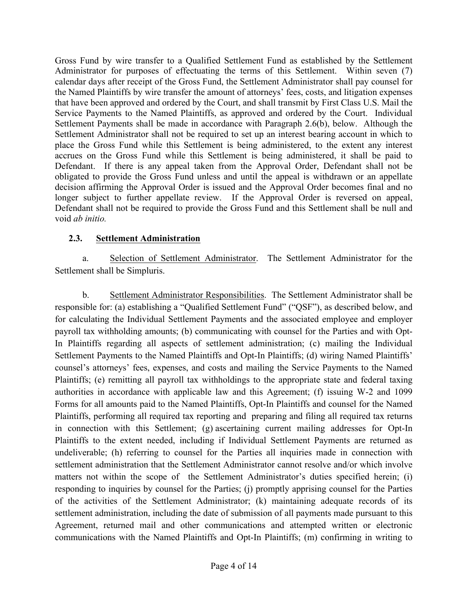Gross Fund by wire transfer to a Qualified Settlement Fund as established by the Settlement Administrator for purposes of effectuating the terms of this Settlement. Within seven (7) calendar days after receipt of the Gross Fund, the Settlement Administrator shall pay counsel for the Named Plaintiffs by wire transfer the amount of attorneys' fees, costs, and litigation expenses that have been approved and ordered by the Court, and shall transmit by First Class U.S. Mail the Service Payments to the Named Plaintiffs, as approved and ordered by the Court. Individual Settlement Payments shall be made in accordance with Paragraph 2.6(b), below. Although the Settlement Administrator shall not be required to set up an interest bearing account in which to place the Gross Fund while this Settlement is being administered, to the extent any interest accrues on the Gross Fund while this Settlement is being administered, it shall be paid to Defendant. If there is any appeal taken from the Approval Order, Defendant shall not be obligated to provide the Gross Fund unless and until the appeal is withdrawn or an appellate decision affirming the Approval Order is issued and the Approval Order becomes final and no longer subject to further appellate review. If the Approval Order is reversed on appeal, Defendant shall not be required to provide the Gross Fund and this Settlement shall be null and void *ab initio.*

#### **2.3. Settlement Administration**

a. Selection of Settlement Administrator. The Settlement Administrator for the Settlement shall be Simpluris.

b. Settlement Administrator Responsibilities. The Settlement Administrator shall be responsible for: (a) establishing a "Qualified Settlement Fund" ("QSF"), as described below, and for calculating the Individual Settlement Payments and the associated employee and employer payroll tax withholding amounts; (b) communicating with counsel for the Parties and with Opt-In Plaintiffs regarding all aspects of settlement administration; (c) mailing the Individual Settlement Payments to the Named Plaintiffs and Opt-In Plaintiffs; (d) wiring Named Plaintiffs' counsel's attorneys' fees, expenses, and costs and mailing the Service Payments to the Named Plaintiffs; (e) remitting all payroll tax withholdings to the appropriate state and federal taxing authorities in accordance with applicable law and this Agreement; (f) issuing W-2 and 1099 Forms for all amounts paid to the Named Plaintiffs, Opt-In Plaintiffs and counsel for the Named Plaintiffs, performing all required tax reporting and preparing and filing all required tax returns in connection with this Settlement; (g) ascertaining current mailing addresses for Opt-In Plaintiffs to the extent needed, including if Individual Settlement Payments are returned as undeliverable; (h) referring to counsel for the Parties all inquiries made in connection with settlement administration that the Settlement Administrator cannot resolve and/or which involve matters not within the scope of the Settlement Administrator's duties specified herein; (i) responding to inquiries by counsel for the Parties; (j) promptly apprising counsel for the Parties of the activities of the Settlement Administrator; (k) maintaining adequate records of its settlement administration, including the date of submission of all payments made pursuant to this Agreement, returned mail and other communications and attempted written or electronic communications with the Named Plaintiffs and Opt-In Plaintiffs; (m) confirming in writing to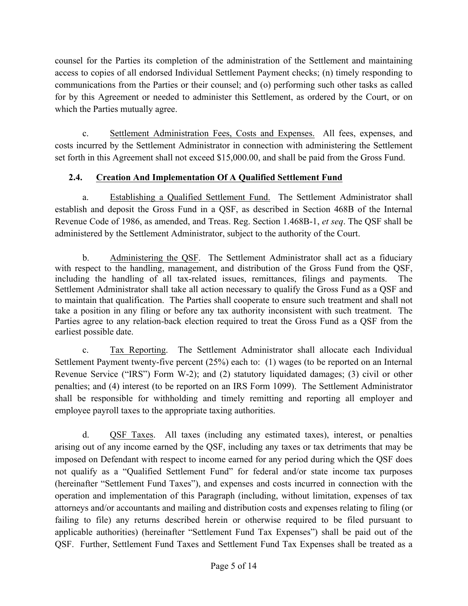counsel for the Parties its completion of the administration of the Settlement and maintaining access to copies of all endorsed Individual Settlement Payment checks; (n) timely responding to communications from the Parties or their counsel; and (o) performing such other tasks as called for by this Agreement or needed to administer this Settlement, as ordered by the Court, or on which the Parties mutually agree.

c. Settlement Administration Fees, Costs and Expenses. All fees, expenses, and costs incurred by the Settlement Administrator in connection with administering the Settlement set forth in this Agreement shall not exceed \$15,000.00, and shall be paid from the Gross Fund.

# **2.4. Creation And Implementation Of A Qualified Settlement Fund**

a. Establishing a Qualified Settlement Fund. The Settlement Administrator shall establish and deposit the Gross Fund in a QSF, as described in Section 468B of the Internal Revenue Code of 1986, as amended, and Treas. Reg. Section 1.468B-1, *et seq*. The QSF shall be administered by the Settlement Administrator, subject to the authority of the Court.

b. Administering the QSF. The Settlement Administrator shall act as a fiduciary with respect to the handling, management, and distribution of the Gross Fund from the QSF, including the handling of all tax-related issues, remittances, filings and payments. The Settlement Administrator shall take all action necessary to qualify the Gross Fund as a QSF and to maintain that qualification. The Parties shall cooperate to ensure such treatment and shall not take a position in any filing or before any tax authority inconsistent with such treatment. The Parties agree to any relation-back election required to treat the Gross Fund as a QSF from the earliest possible date.

c. Tax Reporting. The Settlement Administrator shall allocate each Individual Settlement Payment twenty-five percent (25%) each to: (1) wages (to be reported on an Internal Revenue Service ("IRS") Form W-2); and (2) statutory liquidated damages; (3) civil or other penalties; and (4) interest (to be reported on an IRS Form 1099). The Settlement Administrator shall be responsible for withholding and timely remitting and reporting all employer and employee payroll taxes to the appropriate taxing authorities.

d. QSF Taxes. All taxes (including any estimated taxes), interest, or penalties arising out of any income earned by the QSF, including any taxes or tax detriments that may be imposed on Defendant with respect to income earned for any period during which the QSF does not qualify as a "Qualified Settlement Fund" for federal and/or state income tax purposes (hereinafter "Settlement Fund Taxes"), and expenses and costs incurred in connection with the operation and implementation of this Paragraph (including, without limitation, expenses of tax attorneys and/or accountants and mailing and distribution costs and expenses relating to filing (or failing to file) any returns described herein or otherwise required to be filed pursuant to applicable authorities) (hereinafter "Settlement Fund Tax Expenses") shall be paid out of the QSF. Further, Settlement Fund Taxes and Settlement Fund Tax Expenses shall be treated as a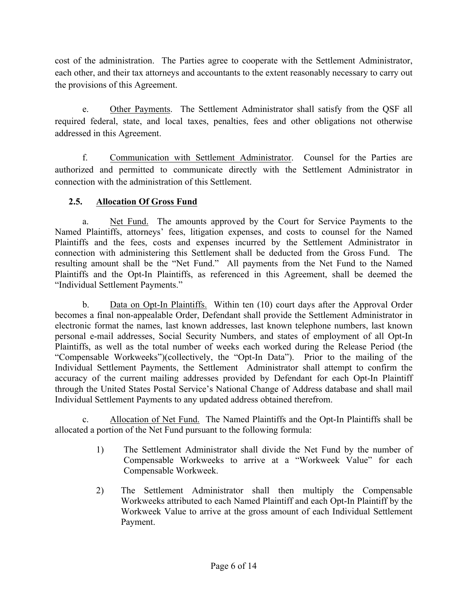cost of the administration. The Parties agree to cooperate with the Settlement Administrator, each other, and their tax attorneys and accountants to the extent reasonably necessary to carry out the provisions of this Agreement.

e. Other Payments. The Settlement Administrator shall satisfy from the QSF all required federal, state, and local taxes, penalties, fees and other obligations not otherwise addressed in this Agreement.

f. Communication with Settlement Administrator. Counsel for the Parties are authorized and permitted to communicate directly with the Settlement Administrator in connection with the administration of this Settlement.

# **2.5. Allocation Of Gross Fund**

a. Net Fund. The amounts approved by the Court for Service Payments to the Named Plaintiffs, attorneys' fees, litigation expenses, and costs to counsel for the Named Plaintiffs and the fees, costs and expenses incurred by the Settlement Administrator in connection with administering this Settlement shall be deducted from the Gross Fund. The resulting amount shall be the "Net Fund." All payments from the Net Fund to the Named Plaintiffs and the Opt-In Plaintiffs, as referenced in this Agreement, shall be deemed the "Individual Settlement Payments."

b. Data on Opt-In Plaintiffs. Within ten (10) court days after the Approval Order becomes a final non-appealable Order, Defendant shall provide the Settlement Administrator in electronic format the names, last known addresses, last known telephone numbers, last known personal e-mail addresses, Social Security Numbers, and states of employment of all Opt-In Plaintiffs, as well as the total number of weeks each worked during the Release Period (the "Compensable Workweeks")(collectively, the "Opt-In Data"). Prior to the mailing of the Individual Settlement Payments, the Settlement Administrator shall attempt to confirm the accuracy of the current mailing addresses provided by Defendant for each Opt-In Plaintiff through the United States Postal Service's National Change of Address database and shall mail Individual Settlement Payments to any updated address obtained therefrom.

c. Allocation of Net Fund. The Named Plaintiffs and the Opt-In Plaintiffs shall be allocated a portion of the Net Fund pursuant to the following formula:

- 1) The Settlement Administrator shall divide the Net Fund by the number of Compensable Workweeks to arrive at a "Workweek Value" for each Compensable Workweek.
- 2) The Settlement Administrator shall then multiply the Compensable Workweeks attributed to each Named Plaintiff and each Opt-In Plaintiff by the Workweek Value to arrive at the gross amount of each Individual Settlement Payment.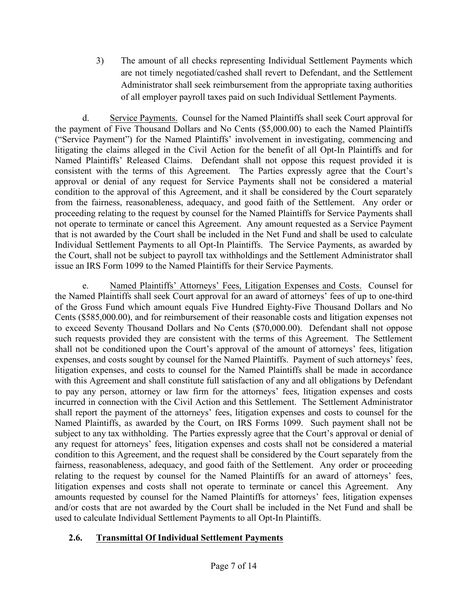3) The amount of all checks representing Individual Settlement Payments which are not timely negotiated/cashed shall revert to Defendant, and the Settlement Administrator shall seek reimbursement from the appropriate taxing authorities of all employer payroll taxes paid on such Individual Settlement Payments.

d. Service Payments. Counsel for the Named Plaintiffs shall seek Court approval for the payment of Five Thousand Dollars and No Cents (\$5,000.00) to each the Named Plaintiffs ("Service Payment") for the Named Plaintiffs' involvement in investigating, commencing and litigating the claims alleged in the Civil Action for the benefit of all Opt-In Plaintiffs and for Named Plaintiffs' Released Claims. Defendant shall not oppose this request provided it is consistent with the terms of this Agreement. The Parties expressly agree that the Court's approval or denial of any request for Service Payments shall not be considered a material condition to the approval of this Agreement, and it shall be considered by the Court separately from the fairness, reasonableness, adequacy, and good faith of the Settlement. Any order or proceeding relating to the request by counsel for the Named Plaintiffs for Service Payments shall not operate to terminate or cancel this Agreement. Any amount requested as a Service Payment that is not awarded by the Court shall be included in the Net Fund and shall be used to calculate Individual Settlement Payments to all Opt-In Plaintiffs. The Service Payments, as awarded by the Court, shall not be subject to payroll tax withholdings and the Settlement Administrator shall issue an IRS Form 1099 to the Named Plaintiffs for their Service Payments.

e. Named Plaintiffs' Attorneys' Fees, Litigation Expenses and Costs. Counsel for the Named Plaintiffs shall seek Court approval for an award of attorneys' fees of up to one-third of the Gross Fund which amount equals Five Hundred Eighty-Five Thousand Dollars and No Cents (\$585,000.00), and for reimbursement of their reasonable costs and litigation expenses not to exceed Seventy Thousand Dollars and No Cents (\$70,000.00). Defendant shall not oppose such requests provided they are consistent with the terms of this Agreement. The Settlement shall not be conditioned upon the Court's approval of the amount of attorneys' fees, litigation expenses, and costs sought by counsel for the Named Plaintiffs. Payment of such attorneys' fees, litigation expenses, and costs to counsel for the Named Plaintiffs shall be made in accordance with this Agreement and shall constitute full satisfaction of any and all obligations by Defendant to pay any person, attorney or law firm for the attorneys' fees, litigation expenses and costs incurred in connection with the Civil Action and this Settlement. The Settlement Administrator shall report the payment of the attorneys' fees, litigation expenses and costs to counsel for the Named Plaintiffs, as awarded by the Court, on IRS Forms 1099. Such payment shall not be subject to any tax withholding. The Parties expressly agree that the Court's approval or denial of any request for attorneys' fees, litigation expenses and costs shall not be considered a material condition to this Agreement, and the request shall be considered by the Court separately from the fairness, reasonableness, adequacy, and good faith of the Settlement. Any order or proceeding relating to the request by counsel for the Named Plaintiffs for an award of attorneys' fees, litigation expenses and costs shall not operate to terminate or cancel this Agreement. Any amounts requested by counsel for the Named Plaintiffs for attorneys' fees, litigation expenses and/or costs that are not awarded by the Court shall be included in the Net Fund and shall be used to calculate Individual Settlement Payments to all Opt-In Plaintiffs.

# **2.6. Transmittal Of Individual Settlement Payments**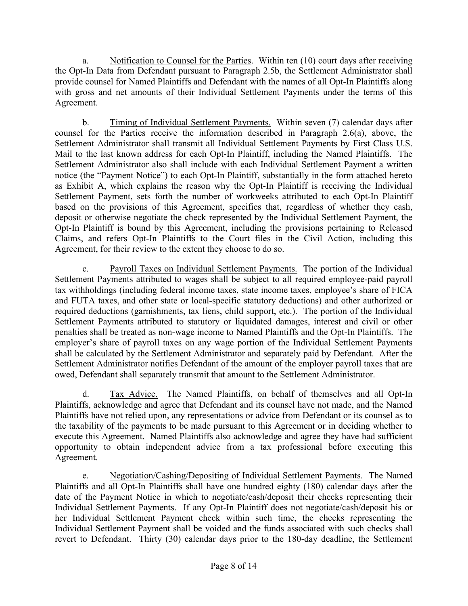a. Notification to Counsel for the Parties. Within ten (10) court days after receiving the Opt-In Data from Defendant pursuant to Paragraph 2.5b, the Settlement Administrator shall provide counsel for Named Plaintiffs and Defendant with the names of all Opt-In Plaintiffs along with gross and net amounts of their Individual Settlement Payments under the terms of this Agreement.

b. Timing of Individual Settlement Payments. Within seven (7) calendar days after counsel for the Parties receive the information described in Paragraph 2.6(a), above, the Settlement Administrator shall transmit all Individual Settlement Payments by First Class U.S. Mail to the last known address for each Opt-In Plaintiff, including the Named Plaintiffs. The Settlement Administrator also shall include with each Individual Settlement Payment a written notice (the "Payment Notice") to each Opt-In Plaintiff, substantially in the form attached hereto as Exhibit A, which explains the reason why the Opt-In Plaintiff is receiving the Individual Settlement Payment, sets forth the number of workweeks attributed to each Opt-In Plaintiff based on the provisions of this Agreement, specifies that, regardless of whether they cash, deposit or otherwise negotiate the check represented by the Individual Settlement Payment, the Opt-In Plaintiff is bound by this Agreement, including the provisions pertaining to Released Claims, and refers Opt-In Plaintiffs to the Court files in the Civil Action, including this Agreement, for their review to the extent they choose to do so.

c. Payroll Taxes on Individual Settlement Payments. The portion of the Individual Settlement Payments attributed to wages shall be subject to all required employee-paid payroll tax withholdings (including federal income taxes, state income taxes, employee's share of FICA and FUTA taxes, and other state or local-specific statutory deductions) and other authorized or required deductions (garnishments, tax liens, child support, etc.). The portion of the Individual Settlement Payments attributed to statutory or liquidated damages, interest and civil or other penalties shall be treated as non-wage income to Named Plaintiffs and the Opt-In Plaintiffs. The employer's share of payroll taxes on any wage portion of the Individual Settlement Payments shall be calculated by the Settlement Administrator and separately paid by Defendant. After the Settlement Administrator notifies Defendant of the amount of the employer payroll taxes that are owed, Defendant shall separately transmit that amount to the Settlement Administrator.

d. Tax Advice. The Named Plaintiffs, on behalf of themselves and all Opt-In Plaintiffs, acknowledge and agree that Defendant and its counsel have not made, and the Named Plaintiffs have not relied upon, any representations or advice from Defendant or its counsel as to the taxability of the payments to be made pursuant to this Agreement or in deciding whether to execute this Agreement. Named Plaintiffs also acknowledge and agree they have had sufficient opportunity to obtain independent advice from a tax professional before executing this Agreement.

e. Negotiation/Cashing/Depositing of Individual Settlement Payments. The Named Plaintiffs and all Opt-In Plaintiffs shall have one hundred eighty (180) calendar days after the date of the Payment Notice in which to negotiate/cash/deposit their checks representing their Individual Settlement Payments. If any Opt-In Plaintiff does not negotiate/cash/deposit his or her Individual Settlement Payment check within such time, the checks representing the Individual Settlement Payment shall be voided and the funds associated with such checks shall revert to Defendant. Thirty (30) calendar days prior to the 180-day deadline, the Settlement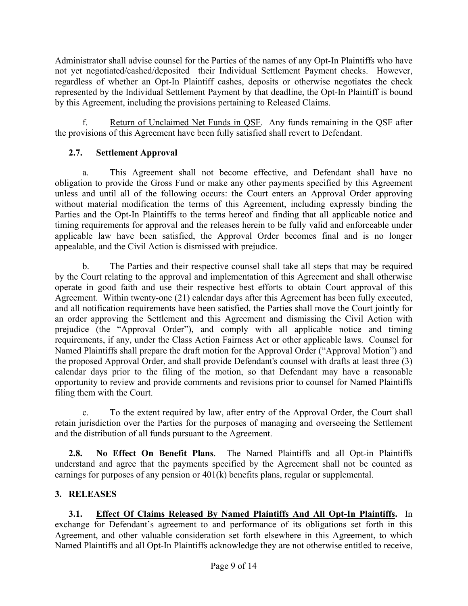Administrator shall advise counsel for the Parties of the names of any Opt-In Plaintiffs who have not yet negotiated/cashed/deposited their Individual Settlement Payment checks. However, regardless of whether an Opt-In Plaintiff cashes, deposits or otherwise negotiates the check represented by the Individual Settlement Payment by that deadline, the Opt-In Plaintiff is bound by this Agreement, including the provisions pertaining to Released Claims.

f. Return of Unclaimed Net Funds in QSF. Any funds remaining in the QSF after the provisions of this Agreement have been fully satisfied shall revert to Defendant.

### **2.7. Settlement Approval**

a. This Agreement shall not become effective, and Defendant shall have no obligation to provide the Gross Fund or make any other payments specified by this Agreement unless and until all of the following occurs: the Court enters an Approval Order approving without material modification the terms of this Agreement, including expressly binding the Parties and the Opt-In Plaintiffs to the terms hereof and finding that all applicable notice and timing requirements for approval and the releases herein to be fully valid and enforceable under applicable law have been satisfied, the Approval Order becomes final and is no longer appealable, and the Civil Action is dismissed with prejudice.

b. The Parties and their respective counsel shall take all steps that may be required by the Court relating to the approval and implementation of this Agreement and shall otherwise operate in good faith and use their respective best efforts to obtain Court approval of this Agreement. Within twenty-one (21) calendar days after this Agreement has been fully executed, and all notification requirements have been satisfied, the Parties shall move the Court jointly for an order approving the Settlement and this Agreement and dismissing the Civil Action with prejudice (the "Approval Order"), and comply with all applicable notice and timing requirements, if any, under the Class Action Fairness Act or other applicable laws. Counsel for Named Plaintiffs shall prepare the draft motion for the Approval Order ("Approval Motion") and the proposed Approval Order, and shall provide Defendant's counsel with drafts at least three (3) calendar days prior to the filing of the motion, so that Defendant may have a reasonable opportunity to review and provide comments and revisions prior to counsel for Named Plaintiffs filing them with the Court.

c. To the extent required by law, after entry of the Approval Order, the Court shall retain jurisdiction over the Parties for the purposes of managing and overseeing the Settlement and the distribution of all funds pursuant to the Agreement.

**2.8. No Effect On Benefit Plans**. The Named Plaintiffs and all Opt-in Plaintiffs understand and agree that the payments specified by the Agreement shall not be counted as earnings for purposes of any pension or 401(k) benefits plans, regular or supplemental.

# **3. RELEASES**

**3.1. Effect Of Claims Released By Named Plaintiffs And All Opt-In Plaintiffs.** In exchange for Defendant's agreement to and performance of its obligations set forth in this Agreement, and other valuable consideration set forth elsewhere in this Agreement, to which Named Plaintiffs and all Opt-In Plaintiffs acknowledge they are not otherwise entitled to receive,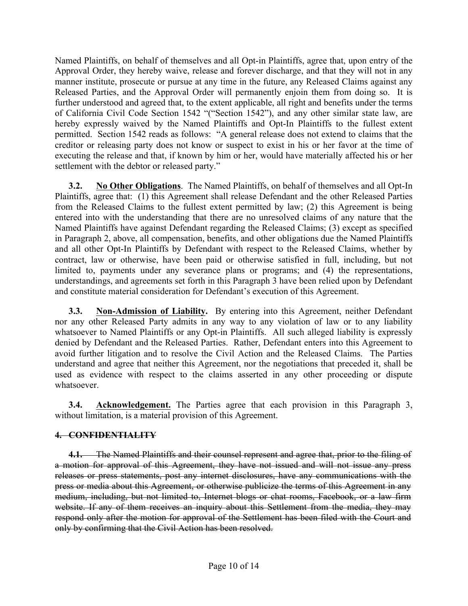Named Plaintiffs, on behalf of themselves and all Opt-in Plaintiffs, agree that, upon entry of the Approval Order, they hereby waive, release and forever discharge, and that they will not in any manner institute, prosecute or pursue at any time in the future, any Released Claims against any Released Parties, and the Approval Order will permanently enjoin them from doing so. It is further understood and agreed that, to the extent applicable, all right and benefits under the terms of California Civil Code Section 1542 "("Section 1542"), and any other similar state law, are hereby expressly waived by the Named Plaintiffs and Opt-In Plaintiffs to the fullest extent permitted. Section 1542 reads as follows: "A general release does not extend to claims that the creditor or releasing party does not know or suspect to exist in his or her favor at the time of executing the release and that, if known by him or her, would have materially affected his or her settlement with the debtor or released party."

**3.2. No Other Obligations**. The Named Plaintiffs, on behalf of themselves and all Opt-In Plaintiffs, agree that: (1) this Agreement shall release Defendant and the other Released Parties from the Released Claims to the fullest extent permitted by law; (2) this Agreement is being entered into with the understanding that there are no unresolved claims of any nature that the Named Plaintiffs have against Defendant regarding the Released Claims; (3) except as specified in Paragraph 2, above, all compensation, benefits, and other obligations due the Named Plaintiffs and all other Opt-In Plaintiffs by Defendant with respect to the Released Claims, whether by contract, law or otherwise, have been paid or otherwise satisfied in full, including, but not limited to, payments under any severance plans or programs; and (4) the representations, understandings, and agreements set forth in this Paragraph 3 have been relied upon by Defendant and constitute material consideration for Defendant's execution of this Agreement.

**3.3. Non-Admission of Liability.** By entering into this Agreement, neither Defendant nor any other Released Party admits in any way to any violation of law or to any liability whatsoever to Named Plaintiffs or any Opt-in Plaintiffs. All such alleged liability is expressly denied by Defendant and the Released Parties. Rather, Defendant enters into this Agreement to avoid further litigation and to resolve the Civil Action and the Released Claims. The Parties understand and agree that neither this Agreement, nor the negotiations that preceded it, shall be used as evidence with respect to the claims asserted in any other proceeding or dispute whatsoever.

**3.4. Acknowledgement.** The Parties agree that each provision in this Paragraph 3, without limitation, is a material provision of this Agreement.

#### **4. CONFIDENTIALITY**

**4.1.** The Named Plaintiffs and their counsel represent and agree that, prior to the filing of a motion for approval of this Agreement, they have not issued and will not issue any press releases or press statements, post any internet disclosures, have any communications with the press or media about this Agreement, or otherwise publicize the terms of this Agreement in any medium, including, but not limited to, Internet blogs or chat rooms, Facebook, or a law firm website. If any of them receives an inquiry about this Settlement from the media, they may respond only after the motion for approval of the Settlement has been filed with the Court and only by confirming that the Civil Action has been resolved.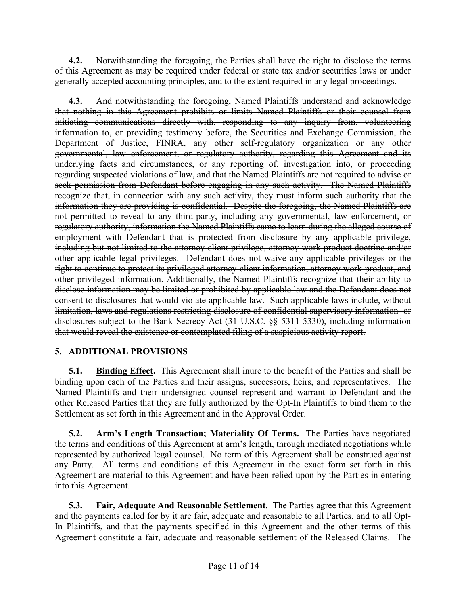**4.2.** Notwithstanding the foregoing, the Parties shall have the right to disclose the terms of this Agreement as may be required under federal or state tax and/or securities laws or under generally accepted accounting principles, and to the extent required in any legal proceedings.

**4.3.** And notwithstanding the foregoing, Named Plaintiffs understand and acknowledge that nothing in this Agreement prohibits or limits Named Plaintiffs or their counsel from initiating communications directly with, responding to any inquiry from, volunteering information to, or providing testimony before, the Securities and Exchange Commission, the Department of Justice, FINRA, any other self-regulatory organization or any other governmental, law enforcement, or regulatory authority, regarding this Agreement and its underlying facts and circumstances, or any reporting of, investigation into, or proceeding regarding suspected violations of law, and that the Named Plaintiffs are not required to advise or seek permission from Defendant before engaging in any such activity. The Named Plaintiffs recognize that, in connection with any such activity, they must inform such authority that the information they are providing is confidential. Despite the foregoing, the Named Plaintiffs are not permitted to reveal to any third-party, including any governmental, law enforcement, or regulatory authority, information the Named Plaintiffs came to learn during the alleged course of employment with Defendant that is protected from disclosure by any applicable privilege, including but not limited to the attorney-client privilege, attorney work-product doctrine and/or other applicable legal privileges. Defendant does not waive any applicable privileges or the right to continue to protect its privileged attorney-client information, attorney work-product, and other privileged information. Additionally, the Named Plaintiffs recognize that their ability to disclose information may be limited or prohibited by applicable law and the Defendant does not consent to disclosures that would violate applicable law. Such applicable laws include, without limitation, laws and regulations restricting disclosure of confidential supervisory information or disclosures subject to the Bank Secrecy Act (31 U.S.C. §§ 5311-5330), including information that would reveal the existence or contemplated filing of a suspicious activity report.

# **5. ADDITIONAL PROVISIONS**

**5.1. Binding Effect.** This Agreement shall inure to the benefit of the Parties and shall be binding upon each of the Parties and their assigns, successors, heirs, and representatives. The Named Plaintiffs and their undersigned counsel represent and warrant to Defendant and the other Released Parties that they are fully authorized by the Opt-In Plaintiffs to bind them to the Settlement as set forth in this Agreement and in the Approval Order.

**5.2. Arm's Length Transaction; Materiality Of Terms.** The Parties have negotiated the terms and conditions of this Agreement at arm's length, through mediated negotiations while represented by authorized legal counsel. No term of this Agreement shall be construed against any Party. All terms and conditions of this Agreement in the exact form set forth in this Agreement are material to this Agreement and have been relied upon by the Parties in entering into this Agreement.

**5.3. Fair, Adequate And Reasonable Settlement.** The Parties agree that this Agreement and the payments called for by it are fair, adequate and reasonable to all Parties, and to all Opt-In Plaintiffs, and that the payments specified in this Agreement and the other terms of this Agreement constitute a fair, adequate and reasonable settlement of the Released Claims. The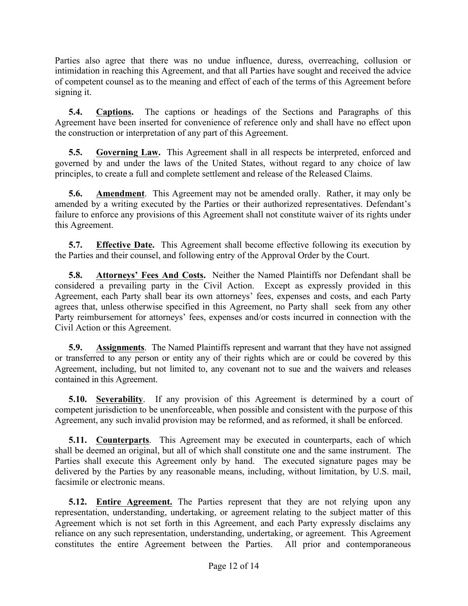Parties also agree that there was no undue influence, duress, overreaching, collusion or intimidation in reaching this Agreement, and that all Parties have sought and received the advice of competent counsel as to the meaning and effect of each of the terms of this Agreement before signing it.

**5.4. Captions.** The captions or headings of the Sections and Paragraphs of this Agreement have been inserted for convenience of reference only and shall have no effect upon the construction or interpretation of any part of this Agreement.

**5.5. Governing Law.** This Agreement shall in all respects be interpreted, enforced and governed by and under the laws of the United States, without regard to any choice of law principles, to create a full and complete settlement and release of the Released Claims.

**5.6. Amendment**. This Agreement may not be amended orally. Rather, it may only be amended by a writing executed by the Parties or their authorized representatives. Defendant's failure to enforce any provisions of this Agreement shall not constitute waiver of its rights under this Agreement.

**5.7. Effective Date.** This Agreement shall become effective following its execution by the Parties and their counsel, and following entry of the Approval Order by the Court.

**5.8. Attorneys' Fees And Costs.** Neither the Named Plaintiffs nor Defendant shall be considered a prevailing party in the Civil Action. Except as expressly provided in this Agreement, each Party shall bear its own attorneys' fees, expenses and costs, and each Party agrees that, unless otherwise specified in this Agreement, no Party shall seek from any other Party reimbursement for attorneys' fees, expenses and/or costs incurred in connection with the Civil Action or this Agreement.

**5.9. Assignments**. The Named Plaintiffs represent and warrant that they have not assigned or transferred to any person or entity any of their rights which are or could be covered by this Agreement, including, but not limited to, any covenant not to sue and the waivers and releases contained in this Agreement.

**5.10. Severability**. If any provision of this Agreement is determined by a court of competent jurisdiction to be unenforceable, when possible and consistent with the purpose of this Agreement, any such invalid provision may be reformed, and as reformed, it shall be enforced.

**5.11. Counterparts**. This Agreement may be executed in counterparts, each of which shall be deemed an original, but all of which shall constitute one and the same instrument. The Parties shall execute this Agreement only by hand. The executed signature pages may be delivered by the Parties by any reasonable means, including, without limitation, by U.S. mail, facsimile or electronic means.

**5.12. Entire Agreement.** The Parties represent that they are not relying upon any representation, understanding, undertaking, or agreement relating to the subject matter of this Agreement which is not set forth in this Agreement, and each Party expressly disclaims any reliance on any such representation, understanding, undertaking, or agreement. This Agreement constitutes the entire Agreement between the Parties. All prior and contemporaneous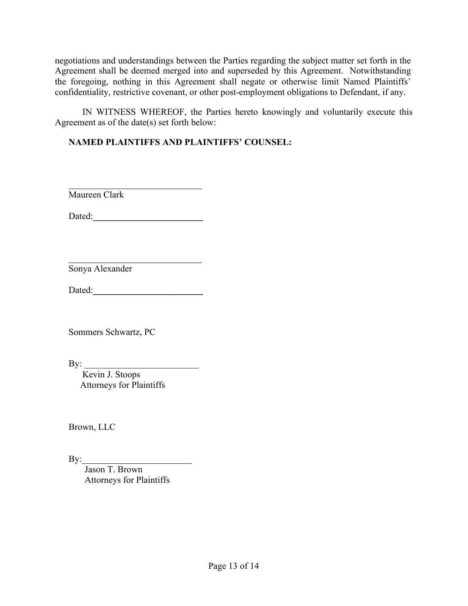negotiations and understandings between the Parties regarding the subject matter set forth in the Agreement shall be deemed merged into and superseded by this Agreement. Notwithstanding the foregoing, nothing in this Agreement shall negate or otherwise limit Named Plaintiffs' confidentiality, restrictive covenant, or other post-employment obligations to Defendant, if any.

IN WITNESS WHEREOF, the Parties hereto knowingly and voluntarily execute this Agreement as of the date(s) set forth below:

### **NAMED PLAINTIFFS AND PLAINTIFFS' COUNSEL:**

 $\frac{1}{2}$  ,  $\frac{1}{2}$  ,  $\frac{1}{2}$  ,  $\frac{1}{2}$  ,  $\frac{1}{2}$  ,  $\frac{1}{2}$  ,  $\frac{1}{2}$  ,  $\frac{1}{2}$  ,  $\frac{1}{2}$  ,  $\frac{1}{2}$  ,  $\frac{1}{2}$  ,  $\frac{1}{2}$  ,  $\frac{1}{2}$  ,  $\frac{1}{2}$  ,  $\frac{1}{2}$  ,  $\frac{1}{2}$  ,  $\frac{1}{2}$  ,  $\frac{1}{2}$  ,  $\frac{1$ Maureen Clark

Dated:**\_\_\_\_\_\_\_\_\_\_\_\_\_\_\_\_\_\_\_\_\_\_\_\_**

Sonya Alexander

Dated:**\_\_\_\_\_\_\_\_\_\_\_\_\_\_\_\_\_\_\_\_\_\_\_\_**

\_\_\_\_\_\_\_\_\_\_\_\_\_\_\_\_\_\_\_\_\_\_\_\_\_\_\_\_\_

Sommers Schwartz, PC

By:  $\frac{1}{\sqrt{2}}$ 

 Kevin J. Stoops Attorneys for Plaintiffs

Brown, LLC

 $\mathbf{By:}$ 

 Jason T. Brown Attorneys for Plaintiffs